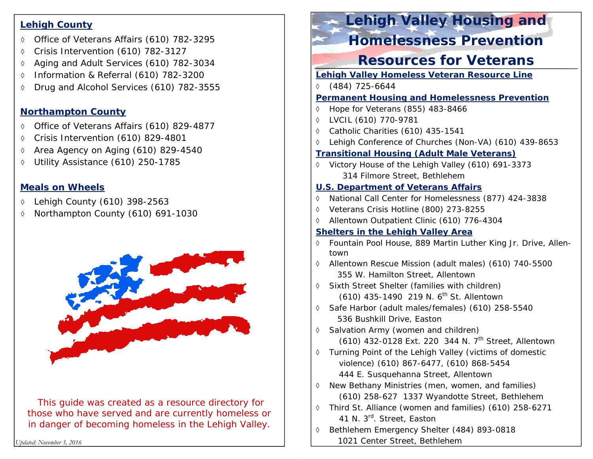#### **Lehigh County**

- Office of Veterans Affairs (610) 782-3295
- $\Diamond$ Crisis Intervention (610) 782-3127
- ♦ Aging and Adult Services (610) 782-3034
- $\Diamond$ Information & Referral (610) 782-3200
- ♦ Drug and Alcohol Services (610) 782-3555

#### **Northampton County**

- Office of Veterans Affairs (610) 829-4877
- ♦ Crisis Intervention (610) 829-4801
- ♦ Area Agency on Aging (610) 829-4540
- $\Diamond$ Utility Assistance (610) 250-1785

### **Meals on Wheels**

- $\Diamond$ Lehigh County (610) 398-2563
- ♦ Northampton County (610) 691-1030



*This guide was created as a resource directory for those who have served and are currently homeless or in danger of becoming homeless in the Lehigh Valley.*

*Updated: November 3, 2016* 

# **Lehigh Valley Housing and**

## **Homelessness Prevention**

# **Resources for Veterans**

- **Lehigh Valley Homeless Veteran Resource Line**
- (484) 725-6644
- **Permanent Housing and Homelessness Prevention**
- $\Diamond$ Hope for Veterans (855) 483-8466
- LVCIL (610) 770-9781
- Catholic Charities (610) 435-1541
- $\Diamond$ Lehigh Conference of Churches (Non-VA) (610) 439-8653

#### **Transitional Housing (Adult Male Veterans)**

◊ Victory House of the Lehigh Valley (610) 691-3373 314 Filmore Street, Bethlehem

### **U.S. Department of Veterans Affairs**

- National Call Center for Homelessness (877) 424-3838
- Veterans Crisis Hotline (800) 273-8255
- Allentown Outpatient Clinic (610) 776-4304

### **Shelters in the Lehigh Valley Area**

- $\Diamond$  Fountain Pool House, 889 Martin Luther King Jr. Drive, Allentown
- Allentown Rescue Mission (adult males) (610) 740-5500 355 W. Hamilton Street, Allentown
- Sixth Street Shelter (families with children) (610) 435-1490 219 N. 6<sup>th</sup> St. Allentown
- Safe Harbor (adult males/females) (610) 258-5540 536 Bushkill Drive, Easton
- ◊ Salvation Army (women and children)
	- (610) 432-0128 Ext. 220 344 N. 7<sup>th</sup> Street, Allentown
- Turning Point of the Lehigh Valley (victims of domestic violence) (610) 867-6477, (610) 868-5454 444 E. Susquehanna Street, Allentown
- $\Diamond$  New Bethany Ministries (men, women, and families) (610) 258-627 1337 Wyandotte Street, Bethlehem
- Third St. Alliance (women and families) (610) 258-6271 41 N. 3rd. Street, Easton
- $\Diamond$  Bethlehem Emergency Shelter (484) 893-0818 1021 Center Street, Bethlehem